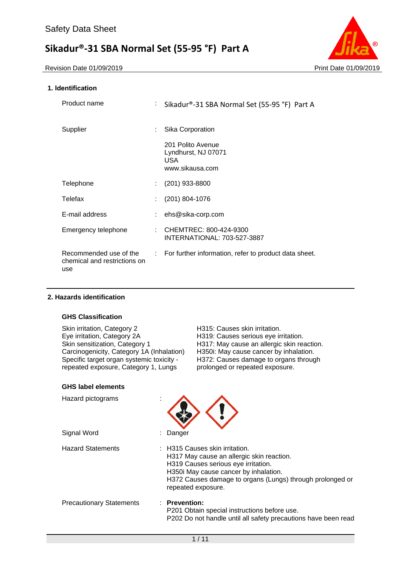Revision Date 01/09/2019 **Print Date 01/09/2019** 



## **1. Identification**

| Product name                                                  | : Sikadur®-31 SBA Normal Set (55-95 °F) Part A                      |
|---------------------------------------------------------------|---------------------------------------------------------------------|
| Supplier                                                      | Sika Corporation                                                    |
|                                                               | 201 Polito Avenue<br>Lyndhurst, NJ 07071<br>USA.<br>www.sikausa.com |
| Telephone                                                     | (201) 933-8800                                                      |
| Telefax                                                       | $(201) 804 - 1076$                                                  |
| E-mail address                                                | ehs@sika-corp.com                                                   |
| Emergency telephone                                           | : CHEMTREC: 800-424-9300<br>INTERNATIONAL: 703-527-3887             |
| Recommended use of the<br>chemical and restrictions on<br>use | : For further information, refer to product data sheet.             |

## **2. Hazards identification**

## **GHS Classification**

| Skin irritation, Category 2               | H315: Causes skin irritation.              |
|-------------------------------------------|--------------------------------------------|
| Eye irritation, Category 2A               | H319: Causes serious eye irritation.       |
| Skin sensitization, Category 1            | H317: May cause an allergic skin reaction. |
| Carcinogenicity, Category 1A (Inhalation) | H350i: May cause cancer by inhalation.     |
| Specific target organ systemic toxicity - | H372: Causes damage to organs through      |
| repeated exposure, Category 1, Lungs      | prolonged or repeated exposure.            |
|                                           |                                            |

## **GHS label elements**

| Hazard pictograms               |                                                                                                                                                                                                                                                |
|---------------------------------|------------------------------------------------------------------------------------------------------------------------------------------------------------------------------------------------------------------------------------------------|
| Signal Word                     | : Danger                                                                                                                                                                                                                                       |
| <b>Hazard Statements</b>        | : H315 Causes skin irritation.<br>H317 May cause an allergic skin reaction.<br>H319 Causes serious eye irritation.<br>H350i May cause cancer by inhalation.<br>H372 Causes damage to organs (Lungs) through prolonged or<br>repeated exposure. |
| <b>Precautionary Statements</b> | $:$ Prevention:<br>P201 Obtain special instructions before use.<br>P202 Do not handle until all safety precautions have been read                                                                                                              |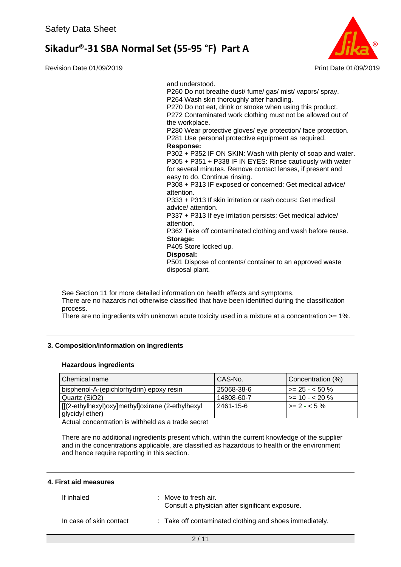Revision Date 01/09/2019 Print Date 01/09/2019



and understood. P260 Do not breathe dust/ fume/ gas/ mist/ vapors/ spray. P264 Wash skin thoroughly after handling. P270 Do not eat, drink or smoke when using this product. P272 Contaminated work clothing must not be allowed out of the workplace. P280 Wear protective gloves/ eye protection/ face protection. P281 Use personal protective equipment as required. **Response:**  P302 + P352 IF ON SKIN: Wash with plenty of soap and water. P305 + P351 + P338 IF IN EYES: Rinse cautiously with water for several minutes. Remove contact lenses, if present and easy to do. Continue rinsing. P308 + P313 IF exposed or concerned: Get medical advice/ attention. P333 + P313 If skin irritation or rash occurs: Get medical advice/ attention. P337 + P313 If eye irritation persists: Get medical advice/ attention. P362 Take off contaminated clothing and wash before reuse. **Storage:**  P405 Store locked up. **Disposal:** 

P501 Dispose of contents/ container to an approved waste disposal plant.

See Section 11 for more detailed information on health effects and symptoms. There are no hazards not otherwise classified that have been identified during the classification process.

There are no ingredients with unknown acute toxicity used in a mixture at a concentration >= 1%.

## **3. Composition/information on ingredients**

## **Hazardous ingredients**

| Chemical name                                    | I CAS-No.   | Concentration (%)      |
|--------------------------------------------------|-------------|------------------------|
| bisphenol-A-(epichlorhydrin) epoxy resin         | 25068-38-6  | $\vert$ >= 25 - < 50 % |
| Quartz (SiO2)                                    | 14808-60-7  | $\vert$ >= 10 - < 20 % |
| [[(2-ethylhexyl)oxy]methyl]oxirane (2-ethylhexyl | l 2461-15-6 | $\geq$ 2 - < 5 %       |
| glycidyl ether)                                  |             |                        |

Actual concentration is withheld as a trade secret

There are no additional ingredients present which, within the current knowledge of the supplier and in the concentrations applicable, are classified as hazardous to health or the environment and hence require reporting in this section.

## **4. First aid measures**

| If inhaled              | : Move to fresh air.<br>Consult a physician after significant exposure. |
|-------------------------|-------------------------------------------------------------------------|
| In case of skin contact | : Take off contaminated clothing and shoes immediately.                 |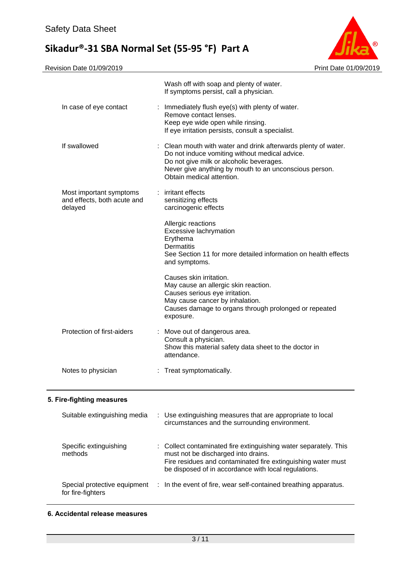

|                                                                   | Wash off with soap and plenty of water.<br>If symptoms persist, call a physician.                                                                                                                                                                   |
|-------------------------------------------------------------------|-----------------------------------------------------------------------------------------------------------------------------------------------------------------------------------------------------------------------------------------------------|
| In case of eye contact                                            | : Immediately flush eye(s) with plenty of water.<br>Remove contact lenses.<br>Keep eye wide open while rinsing.<br>If eye irritation persists, consult a specialist.                                                                                |
| If swallowed                                                      | : Clean mouth with water and drink afterwards plenty of water.<br>Do not induce vomiting without medical advice.<br>Do not give milk or alcoholic beverages.<br>Never give anything by mouth to an unconscious person.<br>Obtain medical attention. |
| Most important symptoms<br>and effects, both acute and<br>delayed | : irritant effects<br>sensitizing effects<br>carcinogenic effects                                                                                                                                                                                   |
|                                                                   | Allergic reactions<br>Excessive lachrymation<br>Erythema<br><b>Dermatitis</b><br>See Section 11 for more detailed information on health effects<br>and symptoms.                                                                                    |
|                                                                   | Causes skin irritation.<br>May cause an allergic skin reaction.<br>Causes serious eye irritation.<br>May cause cancer by inhalation.<br>Causes damage to organs through prolonged or repeated<br>exposure.                                          |
| Protection of first-aiders                                        | : Move out of dangerous area.<br>Consult a physician.<br>Show this material safety data sheet to the doctor in<br>attendance.                                                                                                                       |
| Notes to physician                                                | : Treat symptomatically.                                                                                                                                                                                                                            |
| 5. Fire-fighting measures                                         |                                                                                                                                                                                                                                                     |
| Suitable extinguishing media                                      | Use extinguishing measures that are appropriate to local<br>circumstances and the surrounding environment.                                                                                                                                          |

| Specific extinguishing<br>methods                 | : Collect contaminated fire extinguishing water separately. This<br>must not be discharged into drains.<br>Fire residues and contaminated fire extinguishing water must<br>be disposed of in accordance with local regulations. |
|---------------------------------------------------|---------------------------------------------------------------------------------------------------------------------------------------------------------------------------------------------------------------------------------|
| Special protective equipment<br>for fire-fighters | : In the event of fire, wear self-contained breathing apparatus.                                                                                                                                                                |

**6. Accidental release measures**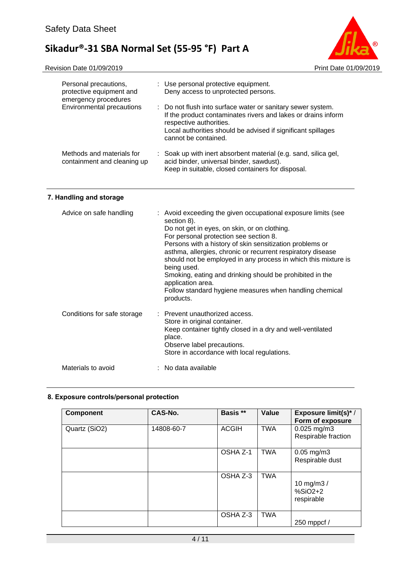

| Personal precautions,<br>protective equipment and<br>emergency procedures | : Use personal protective equipment.<br>Deny access to unprotected persons.                                                                                                                                                                     |
|---------------------------------------------------------------------------|-------------------------------------------------------------------------------------------------------------------------------------------------------------------------------------------------------------------------------------------------|
| Environmental precautions                                                 | : Do not flush into surface water or sanitary sewer system.<br>If the product contaminates rivers and lakes or drains inform<br>respective authorities.<br>Local authorities should be advised if significant spillages<br>cannot be contained. |
| Methods and materials for<br>containment and cleaning up                  | : Soak up with inert absorbent material (e.g. sand, silica gel,<br>acid binder, universal binder, sawdust).<br>Keep in suitable, closed containers for disposal.                                                                                |

## **7. Handling and storage**

| Advice on safe handling     | : Avoid exceeding the given occupational exposure limits (see<br>section 8).<br>Do not get in eyes, on skin, or on clothing.<br>For personal protection see section 8.<br>Persons with a history of skin sensitization problems or<br>asthma, allergies, chronic or recurrent respiratory disease<br>should not be employed in any process in which this mixture is<br>being used.<br>Smoking, eating and drinking should be prohibited in the<br>application area.<br>Follow standard hygiene measures when handling chemical<br>products. |
|-----------------------------|---------------------------------------------------------------------------------------------------------------------------------------------------------------------------------------------------------------------------------------------------------------------------------------------------------------------------------------------------------------------------------------------------------------------------------------------------------------------------------------------------------------------------------------------|
| Conditions for safe storage | : Prevent unauthorized access.<br>Store in original container.<br>Keep container tightly closed in a dry and well-ventilated<br>place.<br>Observe label precautions.<br>Store in accordance with local regulations.                                                                                                                                                                                                                                                                                                                         |
| Materials to avoid          | : No data available                                                                                                                                                                                                                                                                                                                                                                                                                                                                                                                         |

## **8. Exposure controls/personal protection**

| <b>Component</b> | CAS-No.    | Basis **     | Value      | <b>Exposure limit(s)*/</b><br>Form of exposure |
|------------------|------------|--------------|------------|------------------------------------------------|
| Quartz (SiO2)    | 14808-60-7 | <b>ACGIH</b> | <b>TWA</b> | $0.025$ mg/m3<br>Respirable fraction           |
|                  |            | OSHA Z-1     | <b>TWA</b> | $0.05 \,\mathrm{mg/m3}$<br>Respirable dust     |
|                  |            | OSHA Z-3     | <b>TWA</b> | 10 mg/m $3/$<br>$%SiO2+2$<br>respirable        |
|                  |            | OSHA Z-3     | <b>TWA</b> | 250 mppcf /                                    |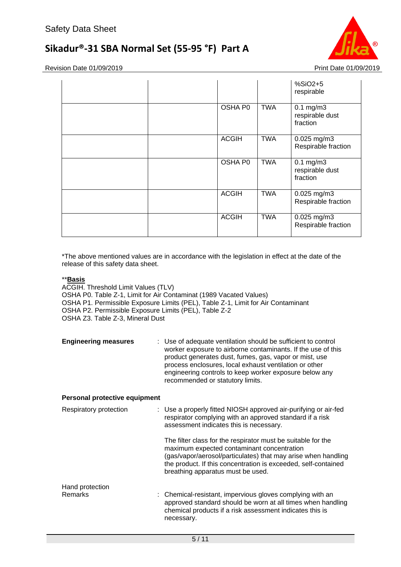

Revision Date 01/09/2019 **Print Date 01/09/2019** 

|              |            | $%SiO2+5$<br>respirable                       |
|--------------|------------|-----------------------------------------------|
| OSHA P0      | <b>TWA</b> | $0.1$ mg/m $3$<br>respirable dust<br>fraction |
| <b>ACGIH</b> | <b>TWA</b> | 0.025 mg/m3<br>Respirable fraction            |
| OSHA P0      | <b>TWA</b> | $0.1$ mg/m $3$<br>respirable dust<br>fraction |
| <b>ACGIH</b> | <b>TWA</b> | 0.025 mg/m3<br>Respirable fraction            |
| <b>ACGIH</b> | <b>TWA</b> | $0.025$ mg/m3<br>Respirable fraction          |

\*The above mentioned values are in accordance with the legislation in effect at the date of the release of this safety data sheet.

## \*\***Basis**

ACGIH. Threshold Limit Values (TLV) OSHA P0. Table Z-1, Limit for Air Contaminat (1989 Vacated Values) OSHA P1. Permissible Exposure Limits (PEL), Table Z-1, Limit for Air Contaminant OSHA P2. Permissible Exposure Limits (PEL), Table Z-2 OSHA Z3. Table Z-3, Mineral Dust

| <b>Engineering measures</b> | : Use of adequate ventilation should be sufficient to control                                                          |
|-----------------------------|------------------------------------------------------------------------------------------------------------------------|
|                             | worker exposure to airborne contaminants. If the use of this<br>product generates dust, fumes, gas, vapor or mist, use |
|                             | process enclosures, local exhaust ventilation or other                                                                 |
|                             | engineering controls to keep worker exposure below any                                                                 |
|                             | recommended or statutory limits.                                                                                       |

## **Personal protective equipment**

| Respiratory protection            | : Use a properly fitted NIOSH approved air-purifying or air-fed<br>respirator complying with an approved standard if a risk<br>assessment indicates this is necessary.                                                                                                             |
|-----------------------------------|------------------------------------------------------------------------------------------------------------------------------------------------------------------------------------------------------------------------------------------------------------------------------------|
|                                   | The filter class for the respirator must be suitable for the<br>maximum expected contaminant concentration<br>(gas/vapor/aerosol/particulates) that may arise when handling<br>the product. If this concentration is exceeded, self-contained<br>breathing apparatus must be used. |
| Hand protection<br><b>Remarks</b> | : Chemical-resistant, impervious gloves complying with an<br>approved standard should be worn at all times when handling<br>chemical products if a risk assessment indicates this is<br>necessary.                                                                                 |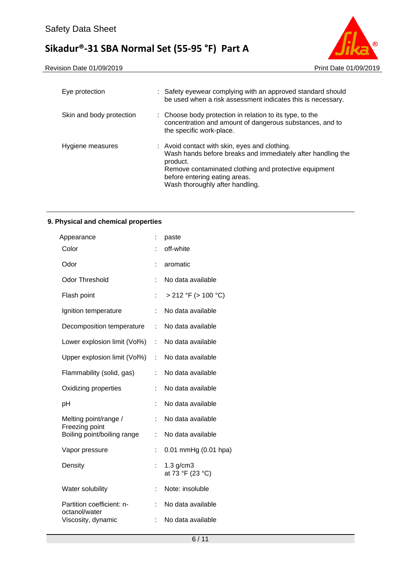

| Eye protection           | : Safety eyewear complying with an approved standard should<br>be used when a risk assessment indicates this is necessary.                                                                                                                            |
|--------------------------|-------------------------------------------------------------------------------------------------------------------------------------------------------------------------------------------------------------------------------------------------------|
| Skin and body protection | : Choose body protection in relation to its type, to the<br>concentration and amount of dangerous substances, and to<br>the specific work-place.                                                                                                      |
| Hygiene measures         | : Avoid contact with skin, eyes and clothing.<br>Wash hands before breaks and immediately after handling the<br>product.<br>Remove contaminated clothing and protective equipment<br>before entering eating areas.<br>Wash thoroughly after handling. |

## **9. Physical and chemical properties**

| Appearance                                    | ÷. | paste                              |
|-----------------------------------------------|----|------------------------------------|
| Color                                         |    | off-white                          |
| Odor                                          |    | aromatic                           |
| <b>Odor Threshold</b>                         |    | No data available                  |
| Flash point                                   |    | $> 212$ °F ( $> 100$ °C)           |
| Ignition temperature                          |    | No data available                  |
| Decomposition temperature                     | t. | No data available                  |
| Lower explosion limit (Vol%)                  | t. | No data available                  |
| Upper explosion limit (Vol%)                  | t. | No data available                  |
| Flammability (solid, gas)                     |    | No data available                  |
| Oxidizing properties                          |    | No data available                  |
| рH                                            |    | No data available                  |
| Melting point/range /                         |    | No data available                  |
| Freezing point<br>Boiling point/boiling range | ŧ. | No data available                  |
| Vapor pressure                                |    | 0.01 mmHg (0.01 hpa)               |
| Density                                       |    | $1.3$ g/cm $3$<br>at 73 °F (23 °C) |
| Water solubility                              |    | Note: insoluble                    |
| Partition coefficient: n-                     | t. | No data available                  |
| octanol/water<br>Viscosity, dynamic           | t. | No data available                  |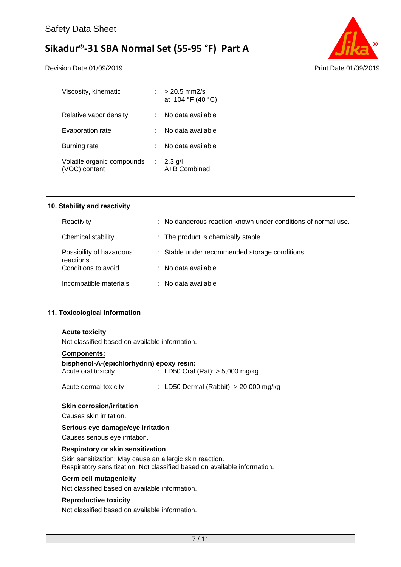Revision Date 01/09/2019 **Print Date 01/09/2019** Print Date 01/09/2019



| $\therefore$ > 20.5 mm2/s<br>at 104 °F (40 °C) |
|------------------------------------------------|
| No data available                              |
| No data available                              |
| No data available                              |
| : 2.3 g/l<br>A+B Combined                      |
|                                                |

## **10. Stability and reactivity**

| Reactivity                            | : No dangerous reaction known under conditions of normal use. |
|---------------------------------------|---------------------------------------------------------------|
| Chemical stability                    | : The product is chemically stable.                           |
| Possibility of hazardous<br>reactions | : Stable under recommended storage conditions.                |
| Conditions to avoid                   | $\therefore$ No data available                                |
| Incompatible materials                | $\therefore$ No data available                                |

## **11. Toxicological information**

#### **Acute toxicity**

Not classified based on available information.

## **Components:**

### **bisphenol-A-(epichlorhydrin) epoxy resin:**

| Acute oral toxicity   | : LD50 Oral (Rat): $> 5,000$ mg/kg       |
|-----------------------|------------------------------------------|
| Acute dermal toxicity | : LD50 Dermal (Rabbit): $> 20,000$ mg/kg |

#### **Skin corrosion/irritation**

Causes skin irritation.

## **Serious eye damage/eye irritation**

Causes serious eye irritation.

#### **Respiratory or skin sensitization**

Skin sensitization: May cause an allergic skin reaction. Respiratory sensitization: Not classified based on available information.

## **Germ cell mutagenicity**

Not classified based on available information.

## **Reproductive toxicity**

Not classified based on available information.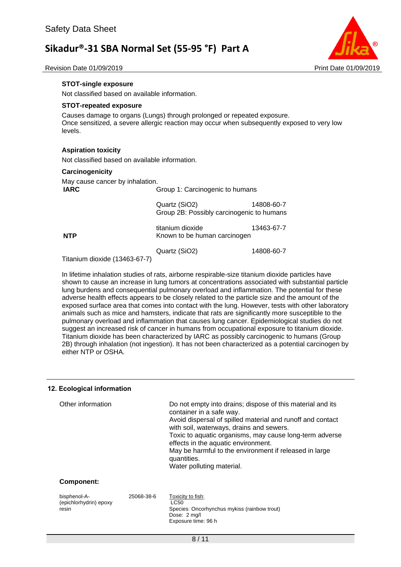

Revision Date 01/09/2019 Print Date 01/09/2019

### **STOT-single exposure**

Not classified based on available information.

#### **STOT-repeated exposure**

Causes damage to organs (Lungs) through prolonged or repeated exposure. Once sensitized, a severe allergic reaction may occur when subsequently exposed to very low levels.

#### **Aspiration toxicity**

Not classified based on available information.

#### **Carcinogenicity**

| May cause cancer by inhalation.<br><b>IARC</b> | Group 1: Carcinogenic to humans                            |            |  |  |
|------------------------------------------------|------------------------------------------------------------|------------|--|--|
|                                                | Quartz (SiO2)<br>Group 2B: Possibly carcinogenic to humans | 14808-60-7 |  |  |
| <b>NTP</b>                                     | titanium dioxide<br>Known to be human carcinogen           | 13463-67-7 |  |  |
|                                                | Quartz (SiO2)                                              | 14808-60-7 |  |  |

Titanium dioxide (13463-67-7)

In lifetime inhalation studies of rats, airborne respirable-size titanium dioxide particles have shown to cause an increase in lung tumors at concentrations associated with substantial particle lung burdens and consequential pulmonary overload and inflammation. The potential for these adverse health effects appears to be closely related to the particle size and the amount of the exposed surface area that comes into contact with the lung. However, tests with other laboratory animals such as mice and hamsters, indicate that rats are significantly more susceptible to the pulmonary overload and inflammation that causes lung cancer. Epidemiological studies do not suggest an increased risk of cancer in humans from occupational exposure to titanium dioxide. Titanium dioxide has been characterized by IARC as possibly carcinogenic to humans (Group 2B) through inhalation (not ingestion). It has not been characterized as a potential carcinogen by either NTP or OSHA.

#### **12. Ecological information**

resin

| Other information |            | Do not empty into drains; dispose of this material and its<br>container in a safe way.<br>Avoid dispersal of spilled material and runoff and contact<br>with soil, waterways, drains and sewers.<br>Toxic to aquatic organisms, may cause long-term adverse<br>effects in the aquatic environment.<br>May be harmful to the environment if released in large<br>quantities.<br>Water polluting material. |
|-------------------|------------|----------------------------------------------------------------------------------------------------------------------------------------------------------------------------------------------------------------------------------------------------------------------------------------------------------------------------------------------------------------------------------------------------------|
| Component:        |            |                                                                                                                                                                                                                                                                                                                                                                                                          |
| bisphenol-A-      | 25068-38-6 | Toxicity to fish:                                                                                                                                                                                                                                                                                                                                                                                        |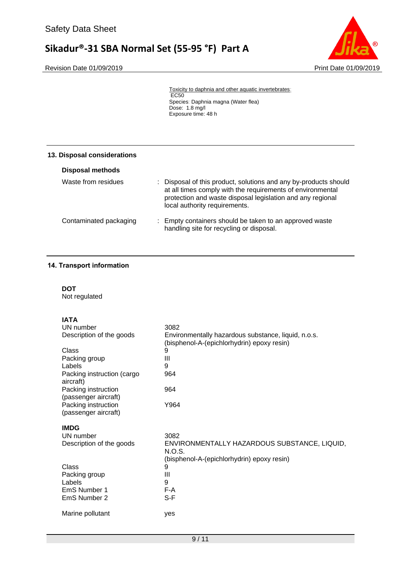Revision Date 01/09/2019 **Print Date 01/09/2019** 



Toxicity to daphnia and other aquatic invertebrates: EC<sub>50</sub> Species: Daphnia magna (Water flea) Dose: 1.8 mg/l Exposure time: 48 h

#### **13. Disposal considerations**

| <b>Disposal methods</b> |                                                                                                                                                                                                                               |
|-------------------------|-------------------------------------------------------------------------------------------------------------------------------------------------------------------------------------------------------------------------------|
| Waste from residues     | : Disposal of this product, solutions and any by-products should<br>at all times comply with the requirements of environmental<br>protection and waste disposal legislation and any regional<br>local authority requirements. |
| Contaminated packaging  | : Empty containers should be taken to an approved waste<br>handling site for recycling or disposal.                                                                                                                           |

## **14. Transport information**

**DOT**

Not regulated

## **IATA**

| UN number                                   | 3082                                                                                              |
|---------------------------------------------|---------------------------------------------------------------------------------------------------|
| Description of the goods                    | Environmentally hazardous substance, liquid, n.o.s.<br>(bisphenol-A-(epichlorhydrin) epoxy resin) |
| Class                                       | 9                                                                                                 |
| Packing group                               | Ш                                                                                                 |
| Labels                                      | 9                                                                                                 |
| Packing instruction (cargo<br>aircraft)     | 964                                                                                               |
| Packing instruction<br>(passenger aircraft) | 964                                                                                               |
| Packing instruction<br>(passenger aircraft) | Y964                                                                                              |
| <b>IMDG</b>                                 |                                                                                                   |
| UN number                                   | 3082                                                                                              |
| Description of the goods                    | ENVIRONMENTALLY HAZARDOUS SUBSTANCE, LIQUID,<br>N.O.S.                                            |
|                                             | (bisphenol-A-(epichlorhydrin) epoxy resin)                                                        |
| <b>Class</b>                                | 9                                                                                                 |
| Packing group                               | Ш                                                                                                 |
| Labels                                      | 9                                                                                                 |
| EmS Number 1                                | F-A                                                                                               |
| EmS Number 2                                | S-F                                                                                               |
| Marine pollutant                            | yes                                                                                               |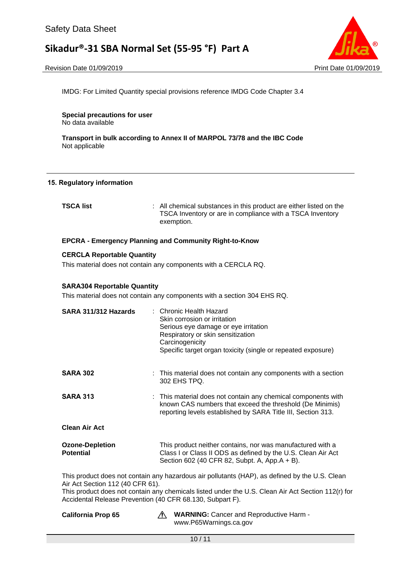#### Revision Date 01/09/2019 Print Date 01/09/2019



IMDG: For Limited Quantity special provisions reference IMDG Code Chapter 3.4

**Special precautions for user** No data available

**Transport in bulk according to Annex II of MARPOL 73/78 and the IBC Code** Not applicable

#### **15. Regulatory information**

| <b>TSCA list</b> | : All chemical substances in this product are either listed on the      |
|------------------|-------------------------------------------------------------------------|
|                  | TSCA Inventory or are in compliance with a TSCA Inventory<br>exemption. |
|                  |                                                                         |

#### **EPCRA - Emergency Planning and Community Right-to-Know**

#### **CERCLA Reportable Quantity**

This material does not contain any components with a CERCLA RQ.

### **SARA304 Reportable Quantity**

This material does not contain any components with a section 304 EHS RQ.

| SARA 311/312 Hazards                                                                            |  | : Chronic Health Hazard<br>Skin corrosion or irritation<br>Serious eye damage or eye irritation<br>Respiratory or skin sensitization<br>Carcinogenicity<br>Specific target organ toxicity (single or repeated exposure) |  |
|-------------------------------------------------------------------------------------------------|--|-------------------------------------------------------------------------------------------------------------------------------------------------------------------------------------------------------------------------|--|
| <b>SARA 302</b>                                                                                 |  | : This material does not contain any components with a section<br>302 EHS TPQ.                                                                                                                                          |  |
| <b>SARA 313</b>                                                                                 |  | : This material does not contain any chemical components with<br>known CAS numbers that exceed the threshold (De Minimis)<br>reporting levels established by SARA Title III, Section 313.                               |  |
| <b>Clean Air Act</b>                                                                            |  |                                                                                                                                                                                                                         |  |
| <b>Ozone-Depletion</b><br><b>Potential</b>                                                      |  | This product neither contains, nor was manufactured with a<br>Class I or Class II ODS as defined by the U.S. Clean Air Act<br>Section 602 (40 CFR 82, Subpt. A, App.A + B).                                             |  |
| This seadupt deep not contain on u homewhere air nollutente (UAD), on defined buther U.C. Class |  |                                                                                                                                                                                                                         |  |

This product does not contain any hazardous air pollutants (HAP), as defined by the U.S. Clean Air Act Section 112 (40 CFR 61).

This product does not contain any chemicals listed under the U.S. Clean Air Act Section 112(r) for Accidental Release Prevention (40 CFR 68.130, Subpart F).

California Prop 65 **WARNING:** Cancer and Reproductive Harm www.P65Warnings.ca.gov